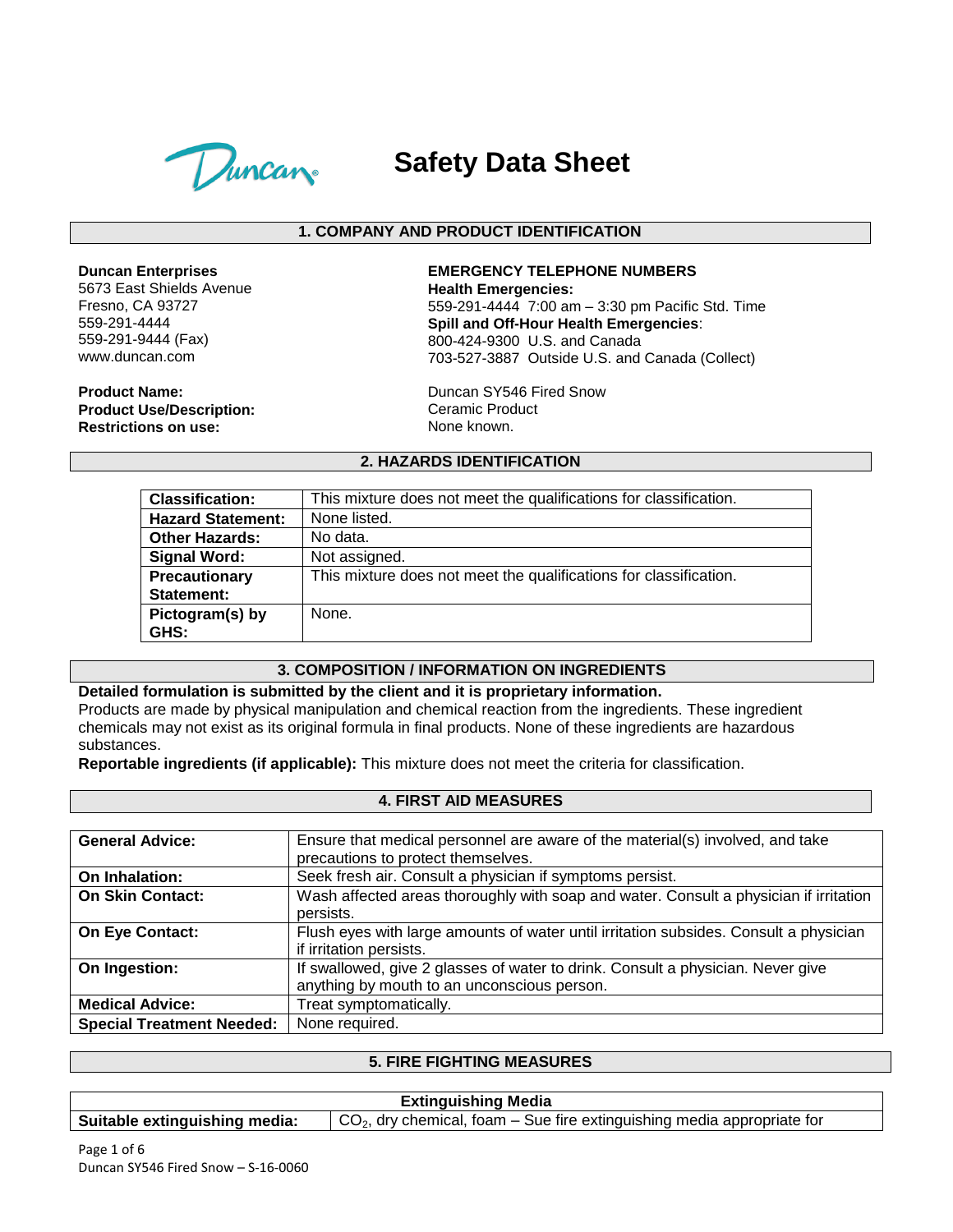

# **Safety Data Sheet**

#### **1. COMPANY AND PRODUCT IDENTIFICATION**

**Duncan Enterprises**

5673 East Shields Avenue Fresno, CA 93727 559-291-4444 559-291-9444 (Fax) www.duncan.com

**Product Name: Product Use/Description: Restrictions on use:**

**EMERGENCY TELEPHONE NUMBERS Health Emergencies:** 559-291-4444 7:00 am – 3:30 pm Pacific Std. Time **Spill and Off-Hour Health Emergencies**: 800-424-9300 U.S. and Canada 703-527-3887 Outside U.S. and Canada (Collect)

Duncan SY546 Fired Snow Ceramic Product None known.

#### **2. HAZARDS IDENTIFICATION**

| <b>Classification:</b>   | This mixture does not meet the qualifications for classification. |
|--------------------------|-------------------------------------------------------------------|
| <b>Hazard Statement:</b> | None listed.                                                      |
| <b>Other Hazards:</b>    | No data.                                                          |
| <b>Signal Word:</b>      | Not assigned.                                                     |
| Precautionary            | This mixture does not meet the qualifications for classification. |
| Statement:               |                                                                   |
| Pictogram(s) by          | None.                                                             |
| GHS:                     |                                                                   |

## **3. COMPOSITION / INFORMATION ON INGREDIENTS**

## **Detailed formulation is submitted by the client and it is proprietary information.**

Products are made by physical manipulation and chemical reaction from the ingredients. These ingredient chemicals may not exist as its original formula in final products. None of these ingredients are hazardous substances.

**Reportable ingredients (if applicable):** This mixture does not meet the criteria for classification.

#### **4. FIRST AID MEASURES**

| <b>General Advice:</b>           | Ensure that medical personnel are aware of the material(s) involved, and take<br>precautions to protect themselves.            |
|----------------------------------|--------------------------------------------------------------------------------------------------------------------------------|
| On Inhalation:                   | Seek fresh air. Consult a physician if symptoms persist.                                                                       |
| <b>On Skin Contact:</b>          | Wash affected areas thoroughly with soap and water. Consult a physician if irritation<br>persists.                             |
| On Eye Contact:                  | Flush eyes with large amounts of water until irritation subsides. Consult a physician<br>if irritation persists.               |
| On Ingestion:                    | If swallowed, give 2 glasses of water to drink. Consult a physician. Never give<br>anything by mouth to an unconscious person. |
| <b>Medical Advice:</b>           | Treat symptomatically.                                                                                                         |
| <b>Special Treatment Needed:</b> | None required.                                                                                                                 |

#### **5. FIRE FIGHTING MEASURES**

| <b>Extinguishing Media</b>    |                                                                                            |  |  |
|-------------------------------|--------------------------------------------------------------------------------------------|--|--|
| Suitable extinguishing media: | $\sim$ CO <sub>2</sub> , dry chemical, foam – Sue fire extinguishing media appropriate for |  |  |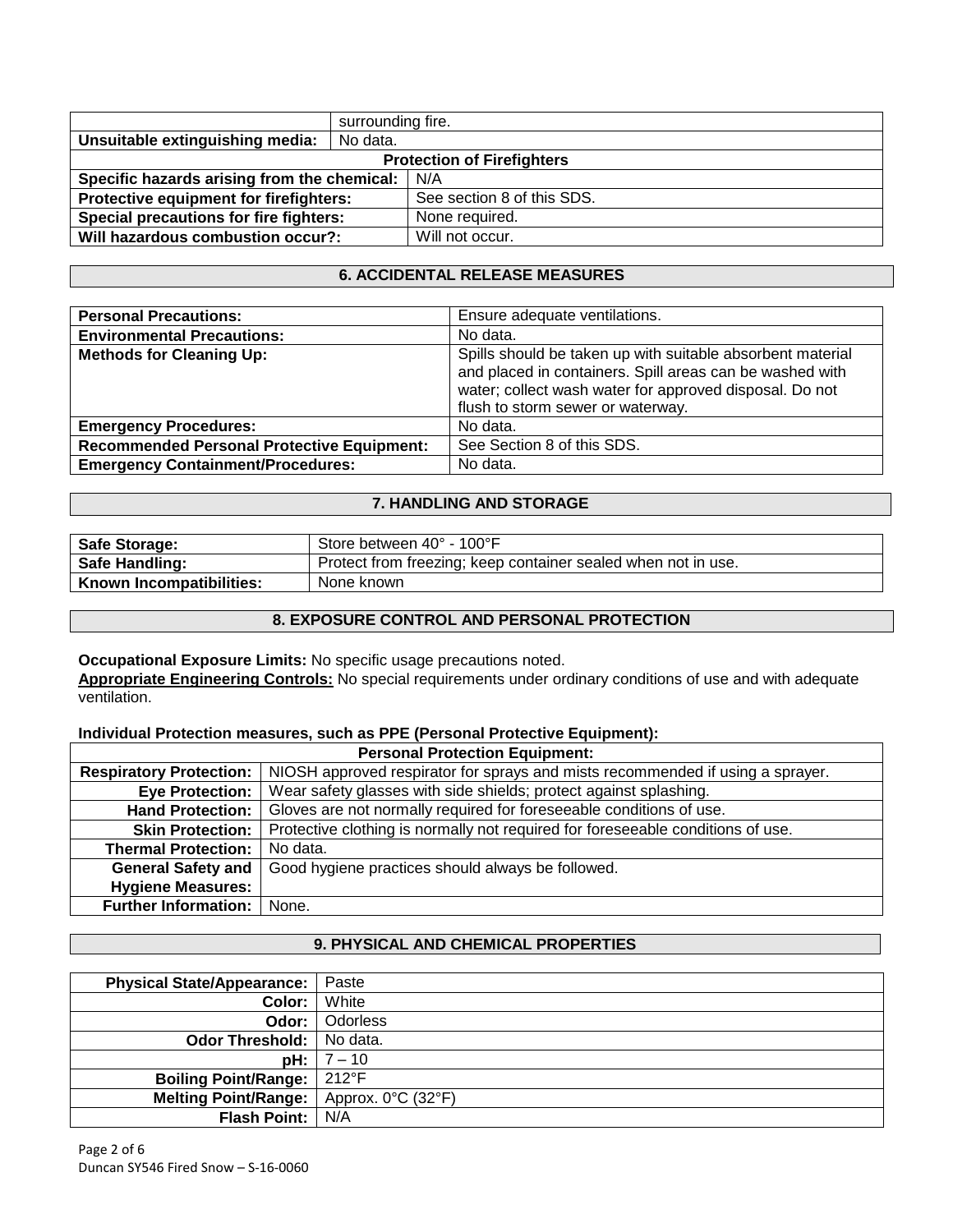| surrounding fire.                 |                                                                                                                                                                      |  |  |
|-----------------------------------|----------------------------------------------------------------------------------------------------------------------------------------------------------------------|--|--|
| No data.                          |                                                                                                                                                                      |  |  |
| <b>Protection of Firefighters</b> |                                                                                                                                                                      |  |  |
|                                   | N/A                                                                                                                                                                  |  |  |
|                                   | See section 8 of this SDS.                                                                                                                                           |  |  |
|                                   | None required.                                                                                                                                                       |  |  |
|                                   | Will not occur.                                                                                                                                                      |  |  |
|                                   | Specific hazards arising from the chemical:<br>Protective equipment for firefighters:<br>Special precautions for fire fighters:<br>Will hazardous combustion occur?: |  |  |

# **6. ACCIDENTAL RELEASE MEASURES**

| <b>Personal Precautions:</b>                      | Ensure adequate ventilations.                                                                                                                                                                                          |
|---------------------------------------------------|------------------------------------------------------------------------------------------------------------------------------------------------------------------------------------------------------------------------|
| <b>Environmental Precautions:</b>                 | No data.                                                                                                                                                                                                               |
| <b>Methods for Cleaning Up:</b>                   | Spills should be taken up with suitable absorbent material<br>and placed in containers. Spill areas can be washed with<br>water; collect wash water for approved disposal. Do not<br>flush to storm sewer or waterway. |
| <b>Emergency Procedures:</b>                      | No data.                                                                                                                                                                                                               |
| <b>Recommended Personal Protective Equipment:</b> | See Section 8 of this SDS.                                                                                                                                                                                             |
| <b>Emergency Containment/Procedures:</b>          | No data.                                                                                                                                                                                                               |

#### **7. HANDLING AND STORAGE**

| <b>Safe Storage:</b>            | Store between 40° - 100°F                                     |
|---------------------------------|---------------------------------------------------------------|
| <b>Safe Handling:</b>           | Protect from freezing; keep container sealed when not in use. |
| <b>Known Incompatibilities:</b> | None known                                                    |

## **8. EXPOSURE CONTROL AND PERSONAL PROTECTION**

**Occupational Exposure Limits:** No specific usage precautions noted.

**Appropriate Engineering Controls:** No special requirements under ordinary conditions of use and with adequate ventilation.

#### **Individual Protection measures, such as PPE (Personal Protective Equipment):**

| <b>Personal Protection Equipment:</b> |                                                                                 |  |  |
|---------------------------------------|---------------------------------------------------------------------------------|--|--|
| <b>Respiratory Protection:</b>        | NIOSH approved respirator for sprays and mists recommended if using a sprayer.  |  |  |
| <b>Eye Protection:</b>                | Wear safety glasses with side shields; protect against splashing.               |  |  |
| <b>Hand Protection:</b>               | Gloves are not normally required for foreseeable conditions of use.             |  |  |
| <b>Skin Protection:</b>               | Protective clothing is normally not required for foreseeable conditions of use. |  |  |
| <b>Thermal Protection:</b>            | No data.                                                                        |  |  |
| <b>General Safety and</b>             | Good hygiene practices should always be followed.                               |  |  |
| <b>Hygiene Measures:</b>              |                                                                                 |  |  |
| <b>Further Information:</b>           | None.                                                                           |  |  |

# **9. PHYSICAL AND CHEMICAL PROPERTIES**

| <b>Physical State/Appearance:</b>   | Paste               |
|-------------------------------------|---------------------|
| Color:                              | White               |
| Odor:                               | Odorless            |
| Odor Threshold:   No data.          |                     |
|                                     | <b>pH:</b> $7 - 10$ |
| <b>Boiling Point/Range:   212°F</b> |                     |
| <b>Melting Point/Range:</b>         | Approx. 0°C (32°F)  |
| Flash Point: N/A                    |                     |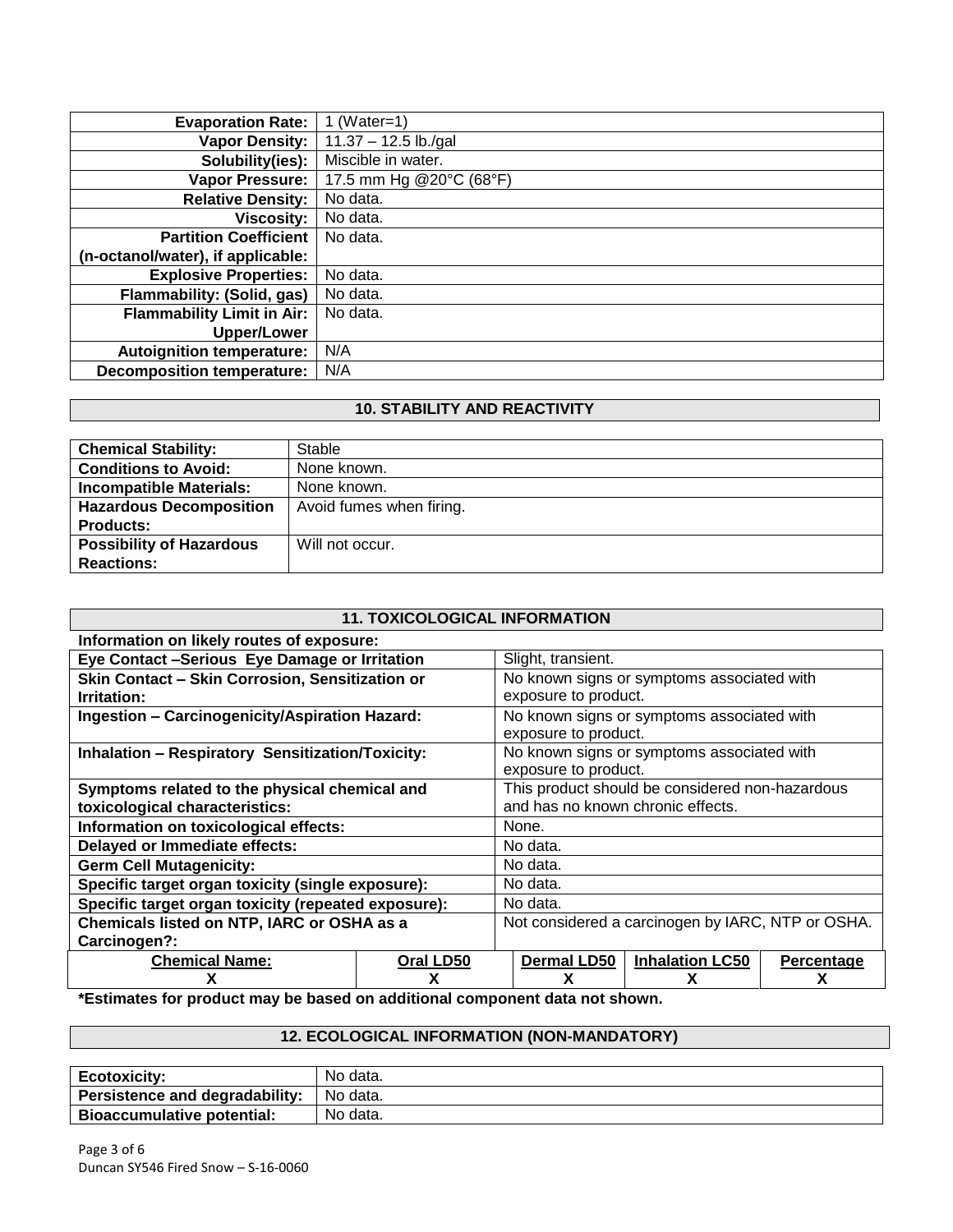| <b>Evaporation Rate:</b>          | 1 (Water=1)                       |
|-----------------------------------|-----------------------------------|
| <b>Vapor Density:</b>             | $\overline{11.37} - 12.5$ lb./gal |
| Solubility(ies):                  | Miscible in water.                |
| <b>Vapor Pressure:</b>            | 17.5 mm Hg @20°C (68°F)           |
| <b>Relative Density:</b>          | No data.                          |
| <b>Viscosity:</b>                 | No data.                          |
| <b>Partition Coefficient</b>      | No data.                          |
| (n-octanol/water), if applicable: |                                   |
| <b>Explosive Properties:</b>      | No data.                          |
| Flammability: (Solid, gas)        | No data.                          |
| <b>Flammability Limit in Air:</b> | No data.                          |
| <b>Upper/Lower</b>                |                                   |
| <b>Autoignition temperature:</b>  | N/A                               |
| <b>Decomposition temperature:</b> | N/A                               |

## **10. STABILITY AND REACTIVITY**

| <b>Chemical Stability:</b>      | Stable                   |
|---------------------------------|--------------------------|
| <b>Conditions to Avoid:</b>     | None known.              |
| <b>Incompatible Materials:</b>  | None known.              |
| <b>Hazardous Decomposition</b>  | Avoid fumes when firing. |
| <b>Products:</b>                |                          |
| <b>Possibility of Hazardous</b> | Will not occur.          |
| <b>Reactions:</b>               |                          |

# **11. TOXICOLOGICAL INFORMATION**

| Information on likely routes of exposure:               |                                                   |                        |            |  |
|---------------------------------------------------------|---------------------------------------------------|------------------------|------------|--|
| Eye Contact -Serious Eye Damage or Irritation           |                                                   | Slight, transient.     |            |  |
| Skin Contact - Skin Corrosion, Sensitization or         | No known signs or symptoms associated with        |                        |            |  |
|                                                         | exposure to product.                              |                        |            |  |
| Ingestion - Carcinogenicity/Aspiration Hazard:          | No known signs or symptoms associated with        |                        |            |  |
|                                                         | exposure to product.                              |                        |            |  |
| <b>Inhalation - Respiratory Sensitization/Toxicity:</b> | No known signs or symptoms associated with        |                        |            |  |
|                                                         | exposure to product.                              |                        |            |  |
| Symptoms related to the physical chemical and           | This product should be considered non-hazardous   |                        |            |  |
|                                                         | and has no known chronic effects.                 |                        |            |  |
|                                                         | None.                                             |                        |            |  |
|                                                         | No data.                                          |                        |            |  |
|                                                         | No data.                                          |                        |            |  |
| Specific target organ toxicity (single exposure):       | No data.                                          |                        |            |  |
| Specific target organ toxicity (repeated exposure):     | No data.                                          |                        |            |  |
| Chemicals listed on NTP, IARC or OSHA as a              | Not considered a carcinogen by IARC, NTP or OSHA. |                        |            |  |
|                                                         |                                                   |                        |            |  |
| Oral LD50                                               | <b>Dermal LD50</b>                                | <b>Inhalation LC50</b> | Percentage |  |
|                                                         |                                                   | ^                      |            |  |
|                                                         |                                                   |                        |            |  |

**\*Estimates for product may be based on additional component data not shown.**

## **12. ECOLOGICAL INFORMATION (NON-MANDATORY)**

| <b>Ecotoxicity:</b>               | No data. |
|-----------------------------------|----------|
| Persistence and degradability:    | No data. |
| <b>Bioaccumulative potential:</b> | No data. |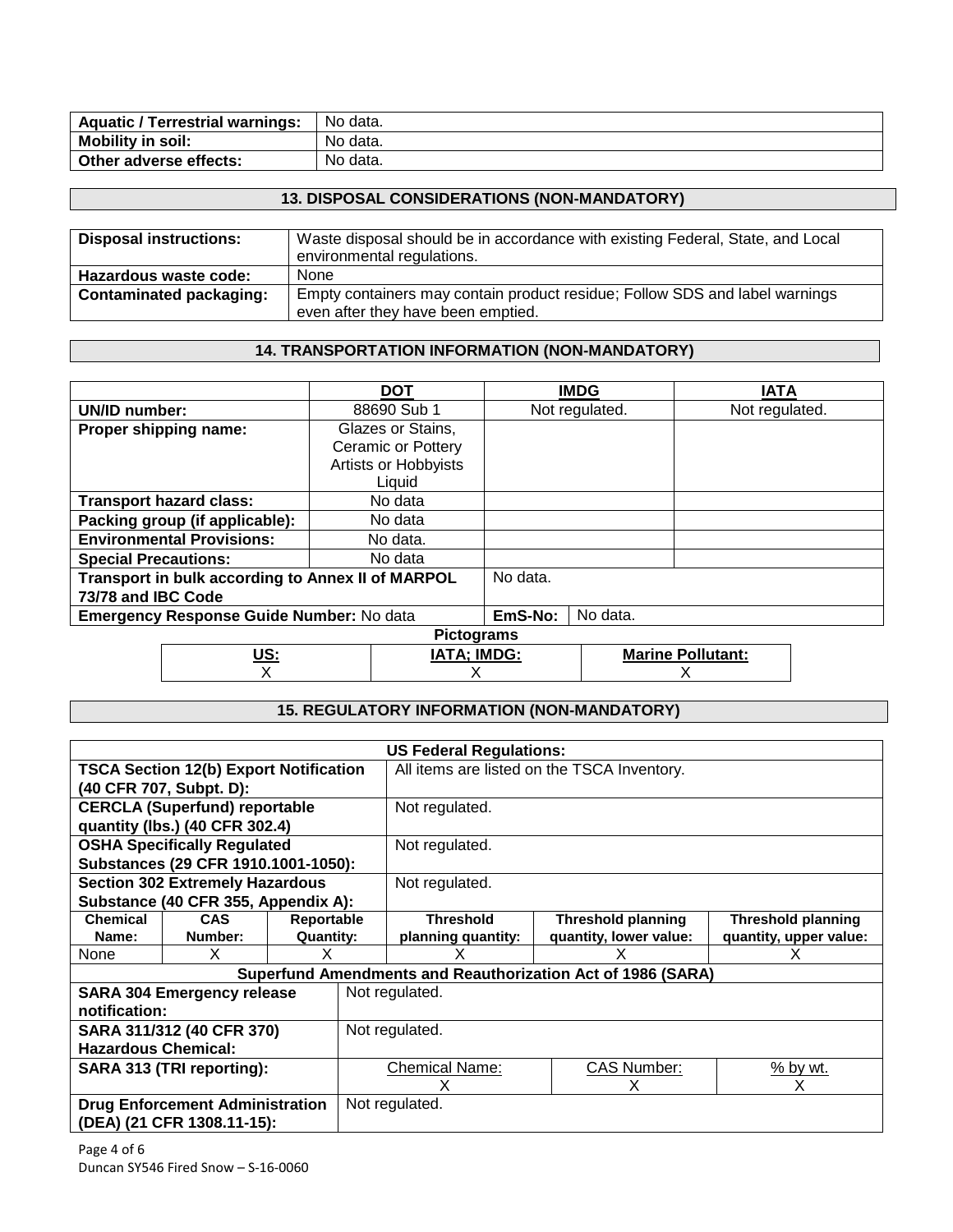| <b>Aquatic / Terrestrial warnings:</b> | No data. |
|----------------------------------------|----------|
| <b>Mobility in soil:</b>               | No data. |
| Other adverse effects:                 | No data. |

## **13. DISPOSAL CONSIDERATIONS (NON-MANDATORY)**

| <b>Disposal instructions:</b> | Waste disposal should be in accordance with existing Federal, State, and Local<br>environmental regulations.      |
|-------------------------------|-------------------------------------------------------------------------------------------------------------------|
| Hazardous waste code:         | <b>None</b>                                                                                                       |
| Contaminated packaging:       | Empty containers may contain product residue; Follow SDS and label warnings<br>even after they have been emptied. |

# **14. TRANSPORTATION INFORMATION (NON-MANDATORY)**

|                                                   | <b>DOT</b>                | <b>IMDG</b> |                | <b>IATA</b>    |  |
|---------------------------------------------------|---------------------------|-------------|----------------|----------------|--|
| UN/ID number:                                     | 88690 Sub 1               |             | Not regulated. | Not regulated. |  |
| Proper shipping name:                             | Glazes or Stains,         |             |                |                |  |
|                                                   | <b>Ceramic or Pottery</b> |             |                |                |  |
|                                                   | Artists or Hobbyists      |             |                |                |  |
|                                                   | Liquid                    |             |                |                |  |
| <b>Transport hazard class:</b>                    | No data                   |             |                |                |  |
| Packing group (if applicable):                    | No data                   |             |                |                |  |
| <b>Environmental Provisions:</b>                  | No data.                  |             |                |                |  |
| <b>Special Precautions:</b>                       | No data                   |             |                |                |  |
| Transport in bulk according to Annex II of MARPOL | No data.                  |             |                |                |  |
| 73/78 and IBC Code                                |                           |             |                |                |  |
| Emergency Response Guide Number: No data          | EmS-No:                   | No data.    |                |                |  |
| <b>Pictograms</b>                                 |                           |             |                |                |  |

**US:** X **IATA; IMDG:** X **Marine Pollutant:** X

# **15. REGULATORY INFORMATION (NON-MANDATORY)**

| <b>US Federal Regulations:</b>                |                                        |                                             |                |                                                             |                           |                           |  |
|-----------------------------------------------|----------------------------------------|---------------------------------------------|----------------|-------------------------------------------------------------|---------------------------|---------------------------|--|
| <b>TSCA Section 12(b) Export Notification</b> |                                        | All items are listed on the TSCA Inventory. |                |                                                             |                           |                           |  |
| (40 CFR 707, Subpt. D):                       |                                        |                                             |                |                                                             |                           |                           |  |
|                                               | <b>CERCLA (Superfund) reportable</b>   |                                             |                | Not regulated.                                              |                           |                           |  |
|                                               | quantity (lbs.) (40 CFR 302.4)         |                                             |                |                                                             |                           |                           |  |
| <b>OSHA Specifically Regulated</b>            |                                        | Not regulated.                              |                |                                                             |                           |                           |  |
| Substances (29 CFR 1910.1001-1050):           |                                        |                                             |                |                                                             |                           |                           |  |
|                                               | <b>Section 302 Extremely Hazardous</b> |                                             |                | Not regulated.                                              |                           |                           |  |
| Substance (40 CFR 355, Appendix A):           |                                        |                                             |                |                                                             |                           |                           |  |
| <b>Chemical</b>                               | <b>CAS</b>                             | Reportable                                  |                | <b>Threshold</b>                                            | <b>Threshold planning</b> | <b>Threshold planning</b> |  |
| Name:                                         | Number:                                | <b>Quantity:</b>                            |                | planning quantity:                                          | quantity, lower value:    | quantity, upper value:    |  |
| None                                          | x                                      | x                                           |                | x                                                           | x                         | x                         |  |
|                                               |                                        |                                             |                | Superfund Amendments and Reauthorization Act of 1986 (SARA) |                           |                           |  |
| <b>SARA 304 Emergency release</b>             |                                        |                                             |                | Not regulated.                                              |                           |                           |  |
| notification:                                 |                                        |                                             |                |                                                             |                           |                           |  |
| SARA 311/312 (40 CFR 370)                     |                                        | Not regulated.                              |                |                                                             |                           |                           |  |
| <b>Hazardous Chemical:</b>                    |                                        |                                             |                |                                                             |                           |                           |  |
| SARA 313 (TRI reporting):                     |                                        | Chemical Name:<br><b>CAS Number:</b>        |                | % by wt.                                                    |                           |                           |  |
|                                               |                                        |                                             | х<br>х<br>х    |                                                             |                           |                           |  |
| <b>Drug Enforcement Administration</b>        |                                        |                                             | Not regulated. |                                                             |                           |                           |  |
| (DEA) (21 CFR 1308.11-15):                    |                                        |                                             |                |                                                             |                           |                           |  |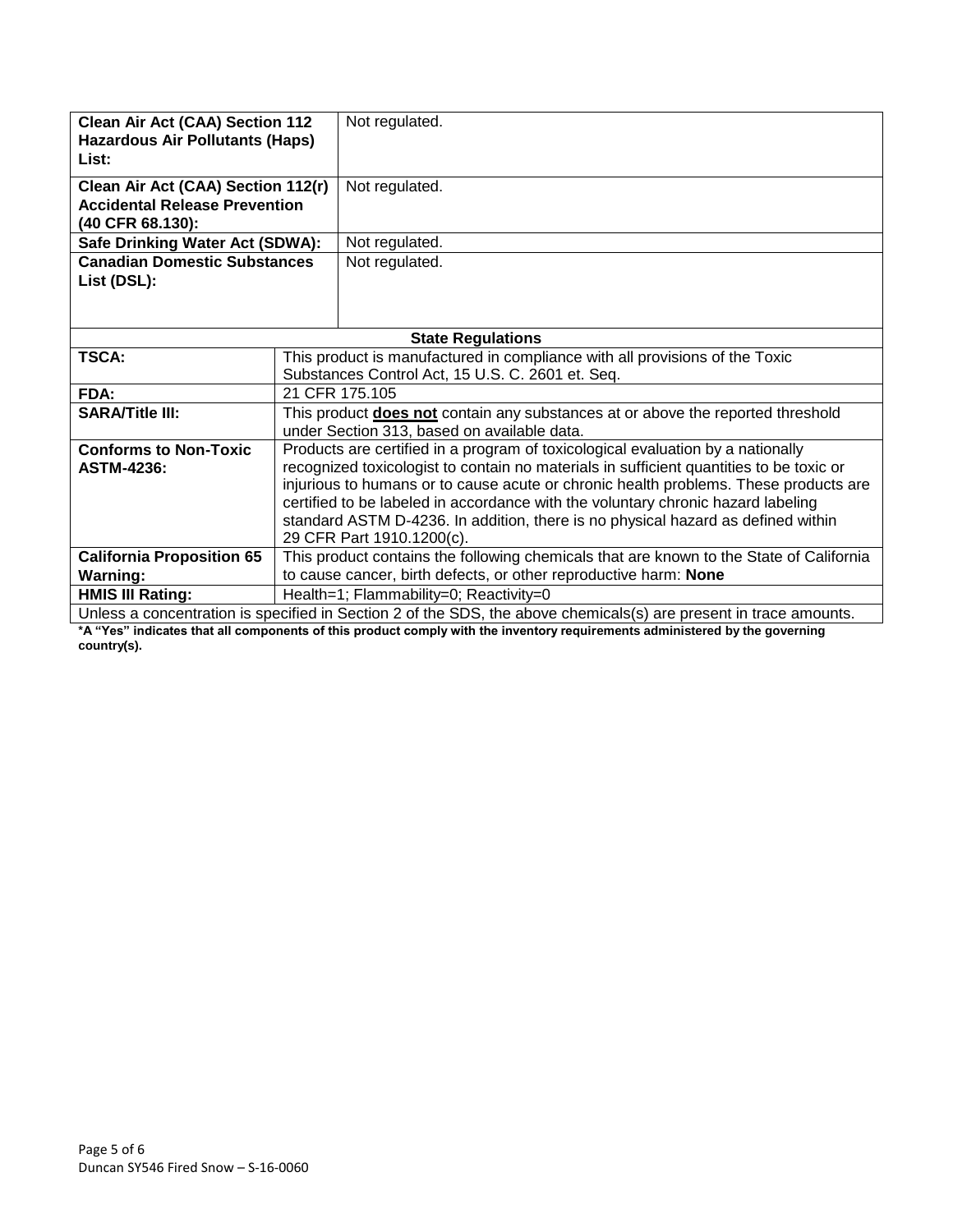| Clean Air Act (CAA) Section 112<br><b>Hazardous Air Pollutants (Haps)</b><br>List:                                |                                                                                                                                | Not regulated.                         |  |  |
|-------------------------------------------------------------------------------------------------------------------|--------------------------------------------------------------------------------------------------------------------------------|----------------------------------------|--|--|
| Clean Air Act (CAA) Section 112(r)<br><b>Accidental Release Prevention</b><br>(40 CFR 68.130):                    |                                                                                                                                | Not regulated.                         |  |  |
| Safe Drinking Water Act (SDWA):                                                                                   |                                                                                                                                | Not regulated.                         |  |  |
| <b>Canadian Domestic Substances</b><br>List (DSL):                                                                |                                                                                                                                | Not regulated.                         |  |  |
| <b>State Regulations</b>                                                                                          |                                                                                                                                |                                        |  |  |
| TSCA:                                                                                                             | This product is manufactured in compliance with all provisions of the Toxic                                                    |                                        |  |  |
|                                                                                                                   | Substances Control Act, 15 U.S. C. 2601 et. Seq.                                                                               |                                        |  |  |
| FDA:                                                                                                              | 21 CFR 175.105                                                                                                                 |                                        |  |  |
| <b>SARA/Title III:</b>                                                                                            | This product does not contain any substances at or above the reported threshold<br>under Section 313, based on available data. |                                        |  |  |
| <b>Conforms to Non-Toxic</b>                                                                                      | Products are certified in a program of toxicological evaluation by a nationally                                                |                                        |  |  |
| <b>ASTM-4236:</b>                                                                                                 | recognized toxicologist to contain no materials in sufficient quantities to be toxic or                                        |                                        |  |  |
|                                                                                                                   | injurious to humans or to cause acute or chronic health problems. These products are                                           |                                        |  |  |
|                                                                                                                   | certified to be labeled in accordance with the voluntary chronic hazard labeling                                               |                                        |  |  |
|                                                                                                                   | standard ASTM D-4236. In addition, there is no physical hazard as defined within                                               |                                        |  |  |
|                                                                                                                   |                                                                                                                                | 29 CFR Part 1910.1200(c).              |  |  |
| <b>California Proposition 65</b>                                                                                  | This product contains the following chemicals that are known to the State of California                                        |                                        |  |  |
| <b>Warning:</b>                                                                                                   | to cause cancer, birth defects, or other reproductive harm: None                                                               |                                        |  |  |
| <b>HMIS III Rating:</b>                                                                                           |                                                                                                                                | Health=1; Flammability=0; Reactivity=0 |  |  |
| Unless a concentration is specified in Section 2 of the SDS, the above chemicals(s) are present in trace amounts. |                                                                                                                                |                                        |  |  |

**\*A "Yes" indicates that all components of this product comply with the inventory requirements administered by the governing country(s).**